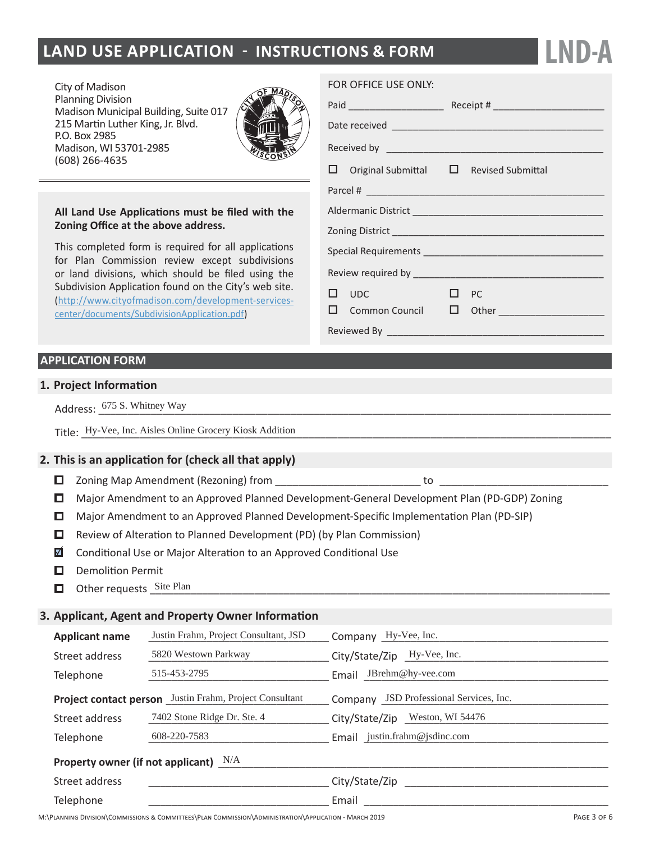# **LAND USE APPLICATION - INSTRUCTIONS & FORM**

City of Madison Planning Division Madison Municipal Building, Suite 017 215 Martin Luther King, Jr. Blvd. P.O. Box 2985 Madison, WI 53701-2985  $(608)$  266-4635



#### All Land Use Applications must be filed with the Zoning Office at the above address.

This completed form is required for all applications for Plan Commission review except subdivisions or land divisions, which should be filed using the Subdivision Application found on the City's web site. (http://www.cityofmadison.com/development-servicescenter/documents/SubdivisionApplication.pdf)

### **APPLICATION FORM**

#### **1. Project Information**

| A/h+<br>Altney<br>. ت<br>Addres<br>. |
|--------------------------------------|
|                                      |

Title: Hy-Vee, Inc. Aisles Online Grocery Kiosk Addition **Analytics** Contained the State of The Grocery Kiosk Addition

#### **2. This is an application for (check all that apply)**

- ŽŶŝŶŐDĂƉŵĞŶĚŵĞŶƚ;ZĞnjŽŶŝŶŐͿĨƌŽŵͺͺͺͺͺͺͺͺͺͺͺͺͺͺͺͺͺͺͺͺͺͺͺͺͺƚŽͺͺͺͺͺͺͺͺͺͺͺͺͺͺͺͺͺͺͺͺͺͺͺͺͺͺͺͺͺ
- $\Box$  Major Amendment to an Approved Planned Development-General Development Plan (PD-GDP) Zoning
- **□** Major Amendment to an Approved Planned Development-Specific Implementation Plan (PD-SIP)
- $\Box$  Review of Alteration to Planned Development (PD) (by Plan Commission)
- $\blacksquare$  Conditional Use or Major Alteration to an Approved Conditional Use
- $\Box$  Demolition Permit
- Other requests Site Plan **Site Plan** 2008 The Site of Plan 2014 The Site Plan 2014 The Site Plan 2014 The Site Plan

#### **3. Applicant, Agent and Property Owner Information**

| <b>Applicant name</b>                                   | Justin Frahm, Project Consultant, JSD | Company Hy-Vee, Inc.                    |  |  |  |
|---------------------------------------------------------|---------------------------------------|-----------------------------------------|--|--|--|
| Street address                                          | 5820 Westown Parkway                  | City/State/Zip Hy-Vee, Inc.             |  |  |  |
| Telephone                                               | 515-453-2795                          | Email JBrehm@hy-vee.com                 |  |  |  |
| Project contact person Justin Frahm, Project Consultant |                                       | Company JSD Professional Services, Inc. |  |  |  |
| Street address                                          | 7402 Stone Ridge Dr. Ste. 4           | City/State/Zip _Weston, WI 54476        |  |  |  |
| Telephone                                               | 608-220-7583                          | Email justin.frahm@jsdinc.com           |  |  |  |
| Property owner (if not applicant) $N/A$                 |                                       |                                         |  |  |  |
| Street address                                          |                                       | City/State/Zip                          |  |  |  |
| Telephone                                               |                                       | Email                                   |  |  |  |

#### FOR OFFICE USE ONLY:

| $\Box$ Original Submittal $\Box$ Revised Submittal |  |  |  |  |  |  |
|----------------------------------------------------|--|--|--|--|--|--|
|                                                    |  |  |  |  |  |  |
| Aldermanic District RECEIVE D 19/7/2020            |  |  |  |  |  |  |
| <b>Zoning District</b>                             |  |  |  |  |  |  |
|                                                    |  |  |  |  |  |  |
|                                                    |  |  |  |  |  |  |
| UDC<br>PC<br>H<br>. .                              |  |  |  |  |  |  |
| Common Council                                     |  |  |  |  |  |  |
| Reviewed By _______________                        |  |  |  |  |  |  |

**LND-A**

**M**:\PLANNING DIVISION\COMMISSIONS & COMMITTEES\PLAN COMMISSION\ADMINISTRATION\APPLICATION - MARCH 2019